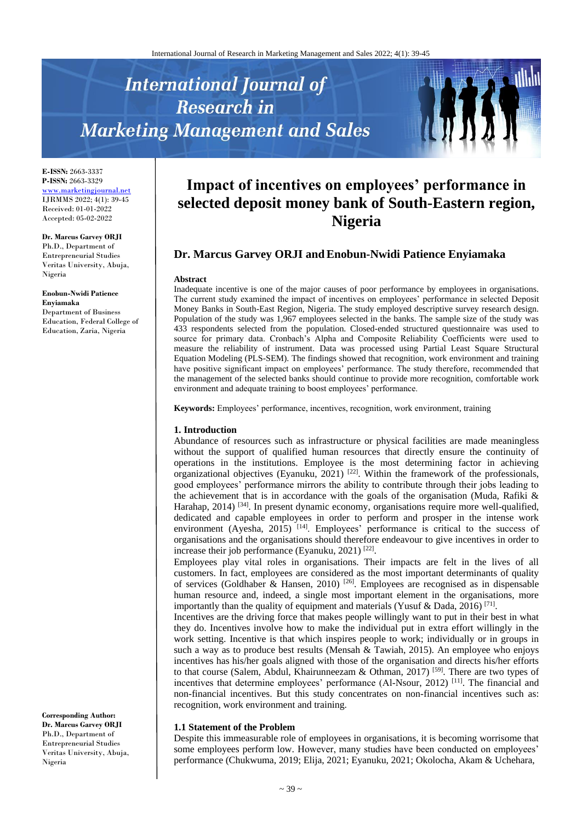# **International Journal of Research in Marketing Management and Sales**



**E-ISSN:** 2663-3337 **P-ISSN:** 2663-3329 [www.marketingjournal.net](http://www.marketingjournal.net/) IJRMMS 2022; 4(1): 39-45 Received: 01-01-2022 Accepted: 05-02-2022

#### **Dr. Marcus Garvey ORJI**

Ph.D., Department of Entrepreneurial Studies Veritas University, Abuja, Nigeria

#### **Enobun-Nwidi Patience**

**Enyiamaka** Department of Business Education, Federal College of Education, Zaria, Nigeria

**Corresponding Author: Dr. Marcus Garvey ORJI** Ph.D., Department of Entrepreneurial Studies Veritas University, Abuja, Nigeria

# **Impact of incentives on employees' performance in selected deposit money bank of South-Eastern region, Nigeria**

# **Dr. Marcus Garvey ORJI andEnobun-Nwidi Patience Enyiamaka**

#### **Abstract**

Inadequate incentive is one of the major causes of poor performance by employees in organisations. The current study examined the impact of incentives on employees' performance in selected Deposit Money Banks in South-East Region, Nigeria. The study employed descriptive survey research design. Population of the study was 1,967 employees selected in the banks. The sample size of the study was 433 respondents selected from the population. Closed-ended structured questionnaire was used to source for primary data. Cronbach's Alpha and Composite Reliability Coefficients were used to measure the reliability of instrument. Data was processed using Partial Least Square Structural Equation Modeling (PLS-SEM). The findings showed that recognition, work environment and training have positive significant impact on employees' performance. The study therefore, recommended that the management of the selected banks should continue to provide more recognition, comfortable work environment and adequate training to boost employees' performance.

**Keywords:** Employees' performance, incentives, recognition, work environment, training

#### **1. Introduction**

Abundance of resources such as infrastructure or physical facilities are made meaningless without the support of qualified human resources that directly ensure the continuity of operations in the institutions. Employee is the most determining factor in achieving organizational objectives (Eyanuku, 2021)<sup>[22]</sup>. Within the framework of the professionals, good employees' performance mirrors the ability to contribute through their jobs leading to the achievement that is in accordance with the goals of the organisation (Muda, Rafiki & Harahap, 2014)<sup>[34]</sup>. In present dynamic economy, organisations require more well-qualified, dedicated and capable employees in order to perform and prosper in the intense work environment (Ayesha, 2015)<sup>[14]</sup>. Employees' performance is critical to the success of organisations and the organisations should therefore endeavour to give incentives in order to increase their job performance (Eyanuku, 2021)  $[22]$ .

Employees play vital roles in organisations. Their impacts are felt in the lives of all customers. In fact, employees are considered as the most important determinants of quality of services (Goldhaber & Hansen, 2010)<sup>[26]</sup>. Employees are recognised as in dispensable human resource and, indeed, a single most important element in the organisations, more importantly than the quality of equipment and materials (Yusuf & Dada, 2016)<sup>[71]</sup>.

Incentives are the driving force that makes people willingly want to put in their best in what they do. Incentives involve how to make the individual put in extra effort willingly in the work setting. Incentive is that which inspires people to work; individually or in groups in such a way as to produce best results (Mensah  $&$  Tawiah, 2015). An employee who enjoys incentives has his/her goals aligned with those of the organisation and directs his/her efforts to that course (Salem, Abdul, Khairunneezam & Othman, 2017)<sup>[59]</sup>. There are two types of incentives that determine employees' performance (Al-Nsour, 2012)<sup>[11]</sup>. The financial and non-financial incentives. But this study concentrates on non-financial incentives such as: recognition, work environment and training.

#### **1.1 Statement of the Problem**

Despite this immeasurable role of employees in organisations, it is becoming worrisome that some employees perform low. However, many studies have been conducted on employees' performance (Chukwuma, 2019; Elija, 2021; Eyanuku, 2021; Okolocha, Akam & Uchehara,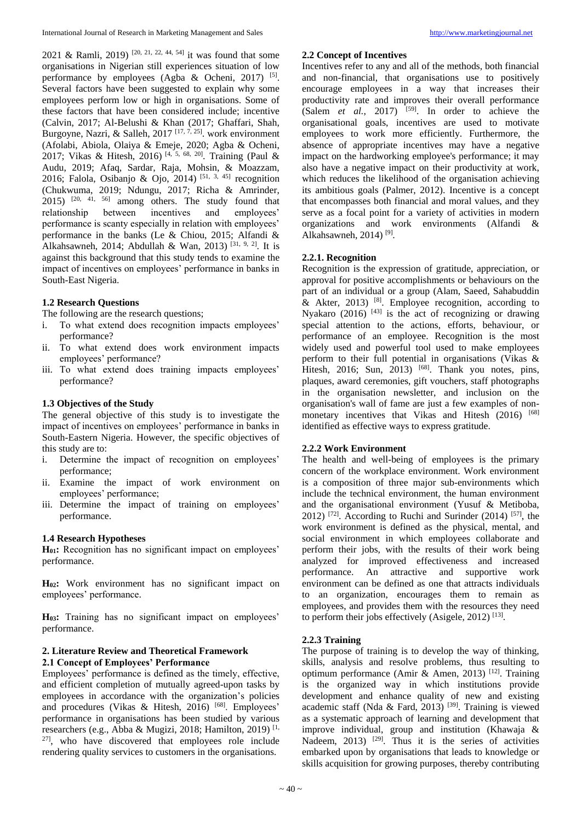2021 & Ramli, 2019)<sup>[20, 21, 22, 44, 54]</sup> it was found that some organisations in Nigerian still experiences situation of low performance by employees (Agba & Ocheni, 2017)<sup>[5]</sup>. Several factors have been suggested to explain why some employees perform low or high in organisations. Some of these factors that have been considered include; incentive (Calvin, 2017; Al-Belushi & Khan (2017; Ghaffari, Shah, Burgoyne, Nazri, & Salleh, 2017<sup>[17, 7, 25]</sup>. work environment (Afolabi, Abiola, Olaiya & Emeje, 2020; Agba & Ocheni, 2017; Vikas & Hitesh, 2016) [4, 5, 68, 20] . Training (Paul & Audu, 2019; Afaq, Sardar, Raja, Mohsin, & Moazzam, 2016; Falola, Osibanjo & Ojo, 2014)<sup>[51, 3, 45]</sup> recognition (Chukwuma, 2019; Ndungu, 2017; Richa & Amrinder,  $2015$ )  $^{[20, 41, 56]}$  among others. The study found that relationship between incentives and employees' performance is scanty especially in relation with employees' performance in the banks (Le & Chiou, 2015; Alfandi & Alkahsawneh, 2014; Abdullah & Wan, 2013)<sup>[31, 9, 2]</sup>. It is against this background that this study tends to examine the impact of incentives on employees' performance in banks in South-East Nigeria.

# **1.2 Research Questions**

The following are the research questions;

- i. To what extend does recognition impacts employees' performance?
- ii. To what extend does work environment impacts employees' performance?
- iii. To what extend does training impacts employees' performance?

# **1.3 Objectives of the Study**

The general objective of this study is to investigate the impact of incentives on employees' performance in banks in South-Eastern Nigeria. However, the specific objectives of this study are to:

- i. Determine the impact of recognition on employees' performance;
- ii. Examine the impact of work environment on employees' performance;
- iii. Determine the impact of training on employees' performance.

# **1.4 Research Hypotheses**

**H01:** Recognition has no significant impact on employees' performance.

**H02:** Work environment has no significant impact on employees' performance.

**H03:** Training has no significant impact on employees' performance.

# **2. Literature Review and Theoretical Framework 2.1 Concept of Employees' Performance**

Employees' performance is defined as the timely, effective, and efficient completion of mutually agreed-upon tasks by employees in accordance with the organization's policies and procedures (Vikas & Hitesh, 2016)<sup>[68]</sup>. Employees' performance in organisations has been studied by various researchers (e.g., Abba & Mugizi, 2018; Hamilton, 2019) [1, 27] , who have discovered that employees role include rendering quality services to customers in the organisations.

# **2.2 Concept of Incentives**

Incentives refer to any and all of the methods, both financial and non-financial, that organisations use to positively encourage employees in a way that increases their productivity rate and improves their overall performance (Salem  $et$   $al$ , 2017)  $[59]$ . In order to achieve the organisational goals, incentives are used to motivate employees to work more efficiently. Furthermore, the absence of appropriate incentives may have a negative impact on the hardworking employee's performance; it may also have a negative impact on their productivity at work, which reduces the likelihood of the organisation achieving its ambitious goals (Palmer, 2012). Incentive is a concept that encompasses both financial and moral values, and they serve as a focal point for a variety of activities in modern organizations and work environments (Alfandi & Alkahsawneh, 2014) $^{[9]}$ .

# **2.2.1. Recognition**

Recognition is the expression of gratitude, appreciation, or approval for positive accomplishments or behaviours on the part of an individual or a group (Alam, Saeed, Sahabuddin & Akter, 2013)  $[8]$ . Employee recognition, according to Nyakaro (2016)  $[43]$  is the act of recognizing or drawing special attention to the actions, efforts, behaviour, or performance of an employee. Recognition is the most widely used and powerful tool used to make employees perform to their full potential in organisations (Vikas & Hitesh, 2016; Sun, 2013) <sup>[68]</sup>. Thank you notes, pins, plaques, award ceremonies, gift vouchers, staff photographs in the organisation newsletter, and inclusion on the organisation's wall of fame are just a few examples of nonmonetary incentives that Vikas and Hitesh (2016) [68] identified as effective ways to express gratitude.

# **2.2.2 Work Environment**

The health and well-being of employees is the primary concern of the workplace environment. Work environment is a composition of three major sub-environments which include the technical environment, the human environment and the organisational environment (Yusuf & Metiboba, 2012)<sup>[72]</sup>. According to Ruchi and Surinder  $(2014)$ <sup>[57]</sup>, the work environment is defined as the physical, mental, and social environment in which employees collaborate and perform their jobs, with the results of their work being analyzed for improved effectiveness and increased performance. An attractive and supportive work environment can be defined as one that attracts individuals to an organization, encourages them to remain as employees, and provides them with the resources they need to perform their jobs effectively (Asigele, 2012)<sup>[13]</sup>.

# **2.2.3 Training**

The purpose of training is to develop the way of thinking, skills, analysis and resolve problems, thus resulting to optimum performance (Amir & Amen, 2013)<sup>[12]</sup>. Training is the organized way in which institutions provide development and enhance quality of new and existing academic staff (Nda & Fard, 2013)<sup>[39]</sup>. Training is viewed as a systematic approach of learning and development that improve individual, group and institution (Khawaja & Nadeem,  $2013$ ) <sup>[29]</sup>. Thus it is the series of activities embarked upon by organisations that leads to knowledge or skills acquisition for growing purposes, thereby contributing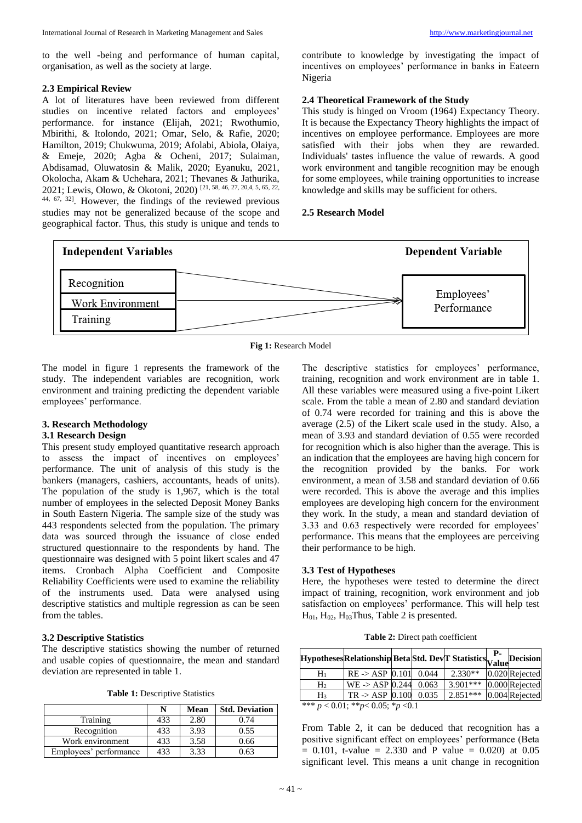to the well -being and performance of human capital, organisation, as well as the society at large.

#### **2.3 Empirical Review**

A lot of literatures have been reviewed from different studies on incentive related factors and employees' performance. for instance (Elijah, 2021; Rwothumio, Mbirithi, & Itolondo, 2021; Omar, Selo, & Rafie, 2020; Hamilton, 2019; Chukwuma, 2019; Afolabi, Abiola, Olaiya, & Emeje, 2020; Agba & Ocheni, 2017; Sulaiman, Abdisamad, Oluwatosin & Malik, 2020; Eyanuku, 2021, Okolocha, Akam & Uchehara, 2021; Thevanes & Jathurika, 2021; Lewis, Olowo, & Okotoni, 2020) [21, 58, 46, 27, 20,4, 5, 65, 22,  $44, 67, 32$ . However, the findings of the reviewed previous studies may not be generalized because of the scope and geographical factor. Thus, this study is unique and tends to contribute to knowledge by investigating the impact of incentives on employees' performance in banks in Eateern Nigeria

#### **2.4 Theoretical Framework of the Study**

This study is hinged on Vroom (1964) Expectancy Theory. It is because the Expectancy Theory highlights the impact of incentives on employee performance. Employees are more satisfied with their jobs when they are rewarded. Individuals' tastes influence the value of rewards. A good work environment and tangible recognition may be enough for some employees, while training opportunities to increase knowledge and skills may be sufficient for others.

#### **2.5 Research Model**



**Fig 1:** Research Model

The model in figure 1 represents the framework of the study. The independent variables are recognition, work environment and training predicting the dependent variable employees' performance.

#### **3. Research Methodology**

#### **3.1 Research Design**

This present study employed quantitative research approach to assess the impact of incentives on employees' performance. The unit of analysis of this study is the bankers (managers, cashiers, accountants, heads of units). The population of the study is 1,967, which is the total number of employees in the selected Deposit Money Banks in South Eastern Nigeria. The sample size of the study was 443 respondents selected from the population. The primary data was sourced through the issuance of close ended structured questionnaire to the respondents by hand. The questionnaire was designed with 5 point likert scales and 47 items. Cronbach Alpha Coefficient and Composite Reliability Coefficients were used to examine the reliability of the instruments used. Data were analysed using descriptive statistics and multiple regression as can be seen from the tables.

#### **3.2 Descriptive Statistics**

The descriptive statistics showing the number of returned and usable copies of questionnaire, the mean and standard deviation are represented in table 1.

**Table 1:** Descriptive Statistics

|                        | N   | Mean | <b>Std. Deviation</b> |
|------------------------|-----|------|-----------------------|
| Training               | 433 | 2.80 | 0.74                  |
| Recognition            | 433 | 3.93 | 0.55                  |
| Work environment       | 433 | 3.58 | 0.66                  |
| Employees' performance | 433 | 3.33 |                       |

The descriptive statistics for employees' performance, training, recognition and work environment are in table 1. All these variables were measured using a five-point Likert scale. From the table a mean of 2.80 and standard deviation of 0.74 were recorded for training and this is above the average (2.5) of the Likert scale used in the study. Also, a mean of 3.93 and standard deviation of 0.55 were recorded for recognition which is also higher than the average. This is an indication that the employees are having high concern for the recognition provided by the banks. For work environment, a mean of 3.58 and standard deviation of 0.66 were recorded. This is above the average and this implies employees are developing high concern for the environment they work. In the study, a mean and standard deviation of 3.33 and 0.63 respectively were recorded for employees' performance. This means that the employees are perceiving their performance to be high.

#### **3.3 Test of Hypotheses**

Here, the hypotheses were tested to determine the direct impact of training, recognition, work environment and job satisfaction on employees' performance. This will help test  $H<sub>01</sub>, H<sub>02</sub>, H<sub>03</sub> Thus, Table 2 is presented.$ 

| Table 2: Direct path coefficient |  |  |  |
|----------------------------------|--|--|--|
|----------------------------------|--|--|--|

|                | HypothesesRelationshipBetaStd. DevT StatisticsRalueDecision |       |            | <b>P</b> - |                |
|----------------|-------------------------------------------------------------|-------|------------|------------|----------------|
| $H_1$          | $RE \rightarrow ASP$ 0.101                                  | 0.044 | $2.330**$  |            | 0.020 Rejected |
| H <sub>2</sub> | $WE - > ASP$ 0.244                                          | 0.063 | $3.901***$ |            | 0.000 Rejected |
| $H_3$          | $TR \rightarrow ASP$ 0.100                                  | 0.035 | $2.851***$ |            | 0.004 Rejected |
|                | *** $p < 0.01$ ; ** $p < 0.05$ ; * $p < 0.1$                |       |            |            |                |

From Table 2, it can be deduced that recognition has a positive significant effect on employees' performance (Beta  $= 0.101$ , t-value  $= 2.330$  and P value  $= 0.020$  at 0.05 significant level. This means a unit change in recognition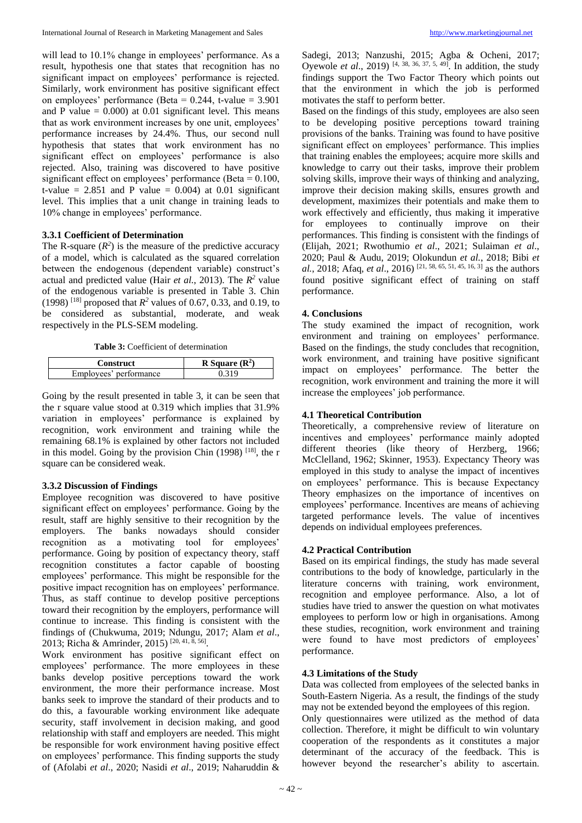will lead to 10.1% change in employees' performance. As a result, hypothesis one that states that recognition has no significant impact on employees' performance is rejected. Similarly, work environment has positive significant effect on employees' performance (Beta =  $0.244$ , t-value = 3.901 and P value  $= 0.000$  at 0.01 significant level. This means that as work environment increases by one unit, employees' performance increases by 24.4%. Thus, our second null hypothesis that states that work environment has no significant effect on employees' performance is also rejected. Also, training was discovered to have positive significant effect on employees' performance (Beta  $= 0.100$ , t-value =  $2.851$  and P value = 0.004) at 0.01 significant level. This implies that a unit change in training leads to 10% change in employees' performance.

#### **3.3.1 Coefficient of Determination**

The R-square  $(R^2)$  is the measure of the predictive accuracy of a model, which is calculated as the squared correlation between the endogenous (dependent variable) construct's actual and predicted value (Hair *et al.*, 2013). The *R <sup>2</sup>* value of the endogenous variable is presented in Table 3. Chin (1998) <sup>[18]</sup> proposed that  $R^2$  values of 0.67, 0.33, and 0.19, to be considered as substantial, moderate, and weak respectively in the PLS-SEM modeling.

**Table 3:** Coefficient of determination

| <b>Construct</b>       | R Square $(R^2)$ |
|------------------------|------------------|
| Employees' performance |                  |

Going by the result presented in table 3, it can be seen that the r square value stood at 0.319 which implies that 31.9% variation in employees' performance is explained by recognition, work environment and training while the remaining 68.1% is explained by other factors not included in this model. Going by the provision Chin  $(1998)$ <sup>[18]</sup>, the r square can be considered weak.

# **3.3.2 Discussion of Findings**

Employee recognition was discovered to have positive significant effect on employees' performance. Going by the result, staff are highly sensitive to their recognition by the employers. The banks nowadays should consider recognition as a motivating tool for employees' performance. Going by position of expectancy theory, staff recognition constitutes a factor capable of boosting employees' performance. This might be responsible for the positive impact recognition has on employees' performance. Thus, as staff continue to develop positive perceptions toward their recognition by the employers, performance will continue to increase. This finding is consistent with the findings of (Chukwuma, 2019; Ndungu, 2017; Alam *et al*., 2013; Richa & Amrinder, 2015)<sup>[20, 41, 8, 56]</sup>.

Work environment has positive significant effect on employees' performance. The more employees in these banks develop positive perceptions toward the work environment, the more their performance increase. Most banks seek to improve the standard of their products and to do this, a favourable working environment like adequate security, staff involvement in decision making, and good relationship with staff and employers are needed. This might be responsible for work environment having positive effect on employees' performance. This finding supports the study of (Afolabi *et al*., 2020; Nasidi *et al*., 2019; Naharuddin & Sadegi, 2013; Nanzushi, 2015; Agba & Ocheni, 2017; Oyewole *et al.*, 2019)<sup>[4, 38, 36, 37, 5, 49]. In addition, the study</sup> findings support the Two Factor Theory which points out that the environment in which the job is performed motivates the staff to perform better.

Based on the findings of this study, employees are also seen to be developing positive perceptions toward training provisions of the banks. Training was found to have positive significant effect on employees' performance. This implies that training enables the employees; acquire more skills and knowledge to carry out their tasks, improve their problem solving skills, improve their ways of thinking and analyzing, improve their decision making skills, ensures growth and development, maximizes their potentials and make them to work effectively and efficiently, thus making it imperative for employees to continually improve on their performances. This finding is consistent with the findings of (Elijah, 2021; Rwothumio *et al*., 2021; Sulaiman *et al*., 2020; Paul & Audu, 2019; Olokundun *et al.*, 2018; Bibi *et al.*, 2018; Afaq, *et al*., 2016) [21, 58, 65, 51, 45, 16, 3] as the authors found positive significant effect of training on staff performance.

#### **4. Conclusions**

The study examined the impact of recognition, work environment and training on employees' performance. Based on the findings, the study concludes that recognition, work environment, and training have positive significant impact on employees' performance. The better the recognition, work environment and training the more it will increase the employees' job performance.

# **4.1 Theoretical Contribution**

Theoretically, a comprehensive review of literature on incentives and employees' performance mainly adopted different theories (like theory of Herzberg, 1966; McClelland, 1962; Skinner, 1953). Expectancy Theory was employed in this study to analyse the impact of incentives on employees' performance. This is because Expectancy Theory emphasizes on the importance of incentives on employees' performance. Incentives are means of achieving targeted performance levels. The value of incentives depends on individual employees preferences.

# **4.2 Practical Contribution**

Based on its empirical findings, the study has made several contributions to the body of knowledge, particularly in the literature concerns with training, work environment, recognition and employee performance. Also, a lot of studies have tried to answer the question on what motivates employees to perform low or high in organisations. Among these studies, recognition, work environment and training were found to have most predictors of employees' performance.

#### **4.3 Limitations of the Study**

Data was collected from employees of the selected banks in South-Eastern Nigeria. As a result, the findings of the study may not be extended beyond the employees of this region.

Only questionnaires were utilized as the method of data collection. Therefore, it might be difficult to win voluntary cooperation of the respondents as it constitutes a major determinant of the accuracy of the feedback. This is however beyond the researcher's ability to ascertain.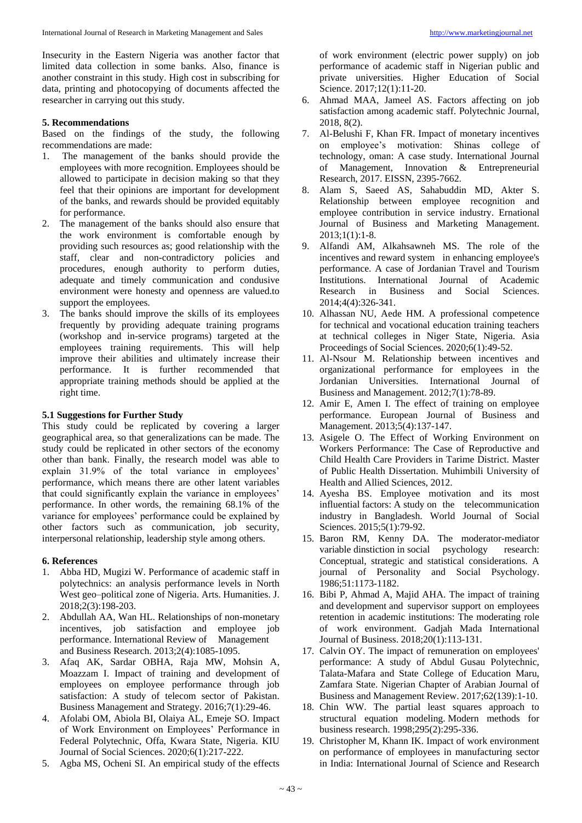Insecurity in the Eastern Nigeria was another factor that limited data collection in some banks. Also, finance is another constraint in this study. High cost in subscribing for data, printing and photocopying of documents affected the researcher in carrying out this study.

#### **5. Recommendations**

Based on the findings of the study, the following recommendations are made:

- 1. The management of the banks should provide the employees with more recognition. Employees should be allowed to participate in decision making so that they feel that their opinions are important for development of the banks, and rewards should be provided equitably for performance.
- 2. The management of the banks should also ensure that the work environment is comfortable enough by providing such resources as; good relationship with the staff, clear and non-contradictory policies and procedures, enough authority to perform duties, adequate and timely communication and condusive environment were honesty and openness are valued.to support the employees.
- 3. The banks should improve the skills of its employees frequently by providing adequate training programs (workshop and in-service programs) targeted at the employees training requirements. This will help improve their abilities and ultimately increase their performance. It is further recommended that appropriate training methods should be applied at the right time.

#### **5.1 Suggestions for Further Study**

This study could be replicated by covering a larger geographical area, so that generalizations can be made. The study could be replicated in other sectors of the economy other than bank. Finally, the research model was able to explain 31.9% of the total variance in employees' performance, which means there are other latent variables that could significantly explain the variance in employees' performance. In other words, the remaining 68.1% of the variance for employees' performance could be explained by other factors such as communication, job security, interpersonal relationship, leadership style among others.

# **6. References**

- 1. Abba HD, Mugizi W. Performance of academic staff in polytechnics: an analysis performance levels in North West geo–political zone of Nigeria. Arts. Humanities. J. 2018;2(3):198-203.
- 2. Abdullah AA, Wan HL. Relationships of non-monetary incentives, job satisfaction and employee job performance. International Review of Management and Business Research. 2013;2(4):1085-1095.
- 3. Afaq AK, Sardar OBHA, Raja MW, Mohsin A, Moazzam I. Impact of training and development of employees on employee performance through job satisfaction: A study of telecom sector of Pakistan. Business Management and Strategy. 2016;7(1):29-46.
- 4. Afolabi OM, Abiola BI, Olaiya AL, Emeje SO. Impact of Work Environment on Employees' Performance in Federal Polytechnic, Offa, Kwara State, Nigeria. KIU Journal of Social Sciences. 2020;6(1):217-222.
- 5. Agba MS, Ocheni SI. An empirical study of the effects

of work environment (electric power supply) on job performance of academic staff in Nigerian public and private universities. Higher Education of Social Science. 2017;12(1):11-20.

- 6. Ahmad MAA, Jameel AS. Factors affecting on job satisfaction among academic staff. Polytechnic Journal, 2018, 8(2).
- 7. Al-Belushi F, Khan FR. Impact of monetary incentives on employee's motivation: Shinas college of technology, oman: A case study. International Journal of Management, Innovation & Entrepreneurial Research, 2017. EISSN, 2395-7662.
- 8. Alam S, Saeed AS, Sahabuddin MD, Akter S. Relationship between employee recognition and employee contribution in service industry. Ernational Journal of Business and Marketing Management.  $2013;1(1):1-8.$
- 9. Alfandi AM, Alkahsawneh MS. The role of the incentives and reward system in enhancing employee's performance. A case of Jordanian Travel and Tourism Institutions. International Journal of Academic Research in Business and Social Sciences. 2014;4(4):326-341.
- 10. Alhassan NU, Aede HM. A professional competence for technical and vocational education training teachers at technical colleges in Niger State, Nigeria. Asia Proceedings of Social Sciences. 2020;6(1):49-52.
- 11. Al-Nsour M. Relationship between incentives and organizational performance for employees in the Jordanian Universities. International Journal of Business and Management. 2012;7(1):78-89.
- 12. Amir E, Amen I. The effect of training on employee performance. European Journal of Business and Management. 2013;5(4):137-147.
- 13. Asigele O. The Effect of Working Environment on Workers Performance: The Case of Reproductive and Child Health Care Providers in Tarime District. Master of Public Health Dissertation. Muhimbili University of Health and Allied Sciences, 2012.
- 14. Ayesha BS. Employee motivation and its most influential factors: A study on the telecommunication industry in Bangladesh. World Journal of Social Sciences. 2015;5(1):79-92.
- 15. Baron RM, Kenny DA. The moderator-mediator variable dinstiction in social psychology research: Conceptual, strategic and statistical considerations. A journal of Personality and Social Psychology. 1986;51:1173-1182.
- 16. Bibi P, Ahmad A, Majid AHA. The impact of training and development and supervisor support on employees retention in academic institutions: The moderating role of work environment. Gadjah Mada International Journal of Business. 2018;20(1):113-131.
- 17. Calvin OY. The impact of remuneration on employees' performance: A study of Abdul Gusau Polytechnic, Talata-Mafara and State College of Education Maru, Zamfara State. Nigerian Chapter of Arabian Journal of Business and Management Review. 2017;62(139):1-10.
- 18. Chin WW. The partial least squares approach to structural equation modeling. Modern methods for business research. 1998;295(2):295-336.
- 19. Christopher M, Khann IK. Impact of work environment on performance of employees in manufacturing sector in India: International Journal of Science and Research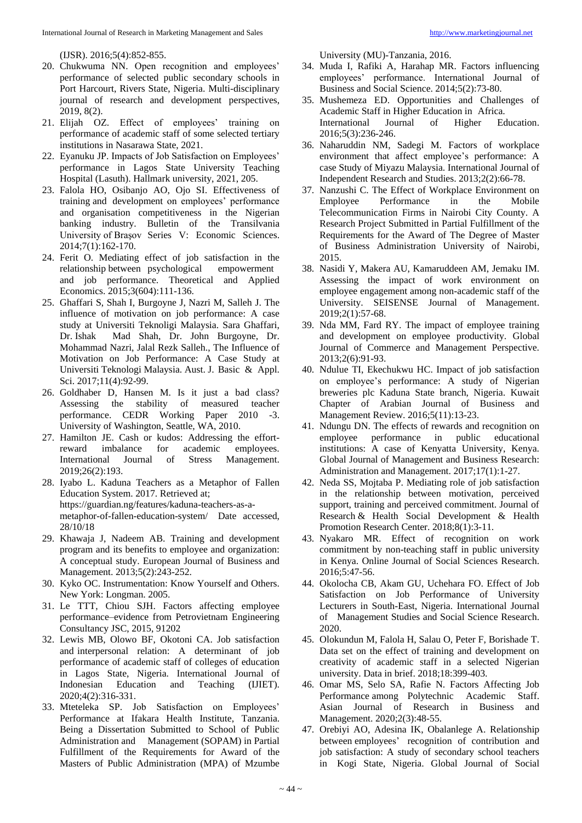- 20. Chukwuma NN. Open recognition and employees' performance of selected public secondary schools in Port Harcourt, Rivers State, Nigeria. Multi-disciplinary journal of research and development perspectives, 2019, 8(2).
- 21. Elijah OZ. Effect of employees' training on performance of academic staff of some selected tertiary institutions in Nasarawa State, 2021.
- 22. Eyanuku JP. Impacts of Job Satisfaction on Employees' performance in Lagos State University Teaching Hospital (Lasuth). Hallmark university, 2021, 205.
- 23. Falola HO, Osibanjo AO, Ojo SI. Effectiveness of training and development on employees' performance and organisation competitiveness in the Nigerian banking industry. Bulletin of the Transilvania University of Braşov Series V: Economic Sciences. 2014;7(1):162-170.
- 24. Ferit O. Mediating effect of job satisfaction in the relationship between psychological empowerment and job performance. Theoretical and Applied Economics. 2015;3(604):111-136.
- 25. Ghaffari S, Shah I, Burgoyne J, Nazri M, Salleh J. The influence of motivation on job performance: A case study at Universiti Teknoligi Malaysia. Sara Ghaffari, Dr. Ishak Mad Shah, Dr. John Burgoyne, Dr. Mohammad Nazri, Jalal Rezk Salleh., The Influence of Motivation on Job Performance: A Case Study at Universiti Teknologi Malaysia. Aust. J. Basic & Appl. Sci. 2017;11(4):92-99.
- 26. Goldhaber D, Hansen M. Is it just a bad class? Assessing the stability of measured teacher performance. CEDR Working Paper 2010 -3. University of Washington, Seattle, WA, 2010.
- 27. Hamilton JE. Cash or kudos: Addressing the effortreward imbalance for academic employees. International Journal of Stress Management. 2019;26(2):193.
- 28. Iyabo L. Kaduna Teachers as a Metaphor of Fallen Education System. 2017. Retrieved at; https://guardian.ng/features/kaduna-teachers-as-ametaphor-of-fallen-education-system/ Date accessed, 28/10/18
- 29. Khawaja J, Nadeem AB. Training and development program and its benefits to employee and organization: A conceptual study. European Journal of Business and Management. 2013;5(2):243-252.
- 30. Kyko OC. Instrumentation: Know Yourself and Others. New York: Longman. 2005.
- 31. Le TTT, Chiou SJH. Factors affecting employee performance–evidence from Petrovietnam Engineering Consultancy JSC, 2015, 91202
- 32. Lewis MB, Olowo BF, Okotoni CA. Job satisfaction and interpersonal relation: A determinant of job performance of academic staff of colleges of education in Lagos State, Nigeria. International Journal of Indonesian Education and Teaching (IJIET). 2020;4(2):316-331.
- 33. Mteteleka SP. Job Satisfaction on Employees' Performance at Ifakara Health Institute, Tanzania. Being a Dissertation Submitted to School of Public Administration and Management (SOPAM) in Partial Fulfillment of the Requirements for Award of the Masters of Public Administration (MPA) of Mzumbe

University (MU)-Tanzania, 2016.

- 34. Muda I, Rafiki A, Harahap MR. Factors influencing employees' performance. International Journal of Business and Social Science. 2014;5(2):73-80.
- 35. Mushemeza ED. Opportunities and Challenges of Academic Staff in Higher Education in Africa. International Journal of Higher Education. 2016;5(3):236-246.
- 36. Naharuddin NM, Sadegi M. Factors of workplace environment that affect employee's performance: A case Study of Miyazu Malaysia. International Journal of Independent Research and Studies. 2013;2(2):66-78.
- 37. Nanzushi C. The Effect of Workplace Environment on Employee Performance in the Mobile Telecommunication Firms in Nairobi City County. A Research Project Submitted in Partial Fulfillment of the Requirements for the Award of The Degree of Master of Business Administration University of Nairobi, 2015.
- 38. Nasidi Y, Makera AU, Kamaruddeen AM, Jemaku IM. Assessing the impact of work environment on employee engagement among non-academic staff of the University. SEISENSE Journal of Management. 2019;2(1):57-68.
- 39. Nda MM, Fard RY. The impact of employee training and development on employee productivity. Global Journal of Commerce and Management Perspective. 2013;2(6):91-93.
- 40. Ndulue TI, Ekechukwu HC. Impact of job satisfaction on employee's performance: A study of Nigerian breweries plc Kaduna State branch, Nigeria. Kuwait Chapter of Arabian Journal of Business and Management Review. 2016;5(11):13-23.
- 41. Ndungu DN. The effects of rewards and recognition on employee performance in public educational institutions: A case of Kenyatta University, Kenya. Global Journal of Management and Business Research: Administration and Management. 2017;17(1):1-27.
- 42. Neda SS, Mojtaba P. Mediating role of job satisfaction in the relationship between motivation, perceived support, training and perceived commitment. Journal of Research & Health Social Development & Health Promotion Research Center. 2018;8(1):3-11.
- 43. Nyakaro MR. Effect of recognition on work commitment by non-teaching staff in public university in Kenya. Online Journal of Social Sciences Research. 2016;5:47-56.
- 44. Okolocha CB, Akam GU, Uchehara FO. Effect of Job Satisfaction on Job Performance of University Lecturers in South-East, Nigeria. International Journal of Management Studies and Social Science Research. 2020.
- 45. Olokundun M, Falola H, Salau O, Peter F, Borishade T. Data set on the effect of training and development on creativity of academic staff in a selected Nigerian university. Data in brief. 2018;18:399-403.
- 46. Omar MS, Selo SA, Rafie N. Factors Affecting Job Performance among Polytechnic Academic Staff. Asian Journal of Research in Business and Management. 2020;2(3):48-55.
- 47. Orebiyi AO, Adesina IK, Obalanlege A. Relationship between employees' recognition of contribution and job satisfaction: A study of secondary school teachers in Kogi State, Nigeria. Global Journal of Social